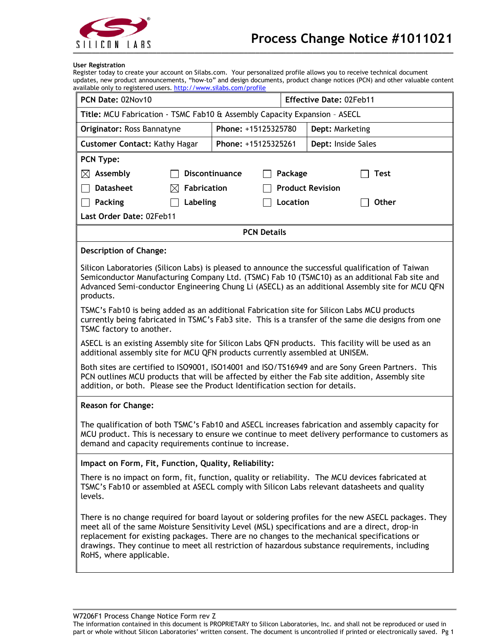

#### **User Registration**

Register today to create your account on Silabs.com. Your personalized profile allows you to receive technical document updates, new product announcements, "how-to" and design documents, product change notices (PCN) and other valuable content available only to registered users[. http://www.silabs.com/profile](http://www.silabs.com/profile)

| PCN Date: 02Nov10                                                                                                                                                                                                                                                                                                          |                     | <b>Effective Date: 02Feb11</b> |                                                                                                     |  |
|----------------------------------------------------------------------------------------------------------------------------------------------------------------------------------------------------------------------------------------------------------------------------------------------------------------------------|---------------------|--------------------------------|-----------------------------------------------------------------------------------------------------|--|
| Title: MCU Fabrication - TSMC Fab10 & Assembly Capacity Expansion - ASECL                                                                                                                                                                                                                                                  |                     |                                |                                                                                                     |  |
| Originator: Ross Bannatyne                                                                                                                                                                                                                                                                                                 | Phone: +15125325780 |                                | Dept: Marketing                                                                                     |  |
| <b>Customer Contact: Kathy Hagar</b>                                                                                                                                                                                                                                                                                       | Phone: +15125325261 |                                | Dept: Inside Sales                                                                                  |  |
| PCN Type:                                                                                                                                                                                                                                                                                                                  |                     |                                |                                                                                                     |  |
| $\boxtimes$ Assembly                                                                                                                                                                                                                                                                                                       | Discontinuance      | Package                        | <b>Test</b>                                                                                         |  |
| <b>Datasheet</b><br><b>Fabrication</b><br>IХI                                                                                                                                                                                                                                                                              |                     |                                | <b>Product Revision</b>                                                                             |  |
| <b>Packing</b><br>Labeling                                                                                                                                                                                                                                                                                                 |                     | Location                       | Other                                                                                               |  |
| Last Order Date: 02Feb11                                                                                                                                                                                                                                                                                                   |                     |                                |                                                                                                     |  |
|                                                                                                                                                                                                                                                                                                                            | <b>PCN Details</b>  |                                |                                                                                                     |  |
| <b>Description of Change:</b>                                                                                                                                                                                                                                                                                              |                     |                                |                                                                                                     |  |
| Silicon Laboratories (Silicon Labs) is pleased to announce the successful qualification of Taiwan<br>Semiconductor Manufacturing Company Ltd. (TSMC) Fab 10 (TSMC10) as an additional Fab site and<br>Advanced Semi-conductor Engineering Chung Li (ASECL) as an additional Assembly site for MCU QFN<br>products.         |                     |                                |                                                                                                     |  |
| TSMC's Fab10 is being added as an additional Fabrication site for Silicon Labs MCU products<br>currently being fabricated in TSMC's Fab3 site. This is a transfer of the same die designs from one<br>TSMC factory to another.                                                                                             |                     |                                |                                                                                                     |  |
| ASECL is an existing Assembly site for Silicon Labs QFN products. This facility will be used as an<br>additional assembly site for MCU QFN products currently assembled at UNISEM.                                                                                                                                         |                     |                                |                                                                                                     |  |
| Both sites are certified to ISO9001, ISO14001 and ISO/TS16949 and are Sony Green Partners. This<br>PCN outlines MCU products that will be affected by either the Fab site addition, Assembly site<br>addition, or both. Please see the Product Identification section for details.                                         |                     |                                |                                                                                                     |  |
| <b>Reason for Change:</b>                                                                                                                                                                                                                                                                                                  |                     |                                |                                                                                                     |  |
| The qualification of both TSMC's Fab10 and ASECL increases fabrication and assembly capacity for<br>MCU product. This is necessary to ensure we continue to meet delivery performance to customers as<br>demand and capacity requirements continue to increase.                                                            |                     |                                |                                                                                                     |  |
| Impact on Form, Fit, Function, Quality, Reliability:                                                                                                                                                                                                                                                                       |                     |                                |                                                                                                     |  |
| There is no impact on form, fit, function, quality or reliability. The MCU devices fabricated at<br>TSMC's Fab10 or assembled at ASECL comply with Silicon Labs relevant datasheets and quality<br>levels.                                                                                                                 |                     |                                |                                                                                                     |  |
| meet all of the same Moisture Sensitivity Level (MSL) specifications and are a direct, drop-in<br>replacement for existing packages. There are no changes to the mechanical specifications or<br>drawings. They continue to meet all restriction of hazardous substance requirements, including<br>RoHS, where applicable. |                     |                                | There is no change required for board layout or soldering profiles for the new ASECL packages. They |  |

W7206F1 Process Change Notice Form rev Z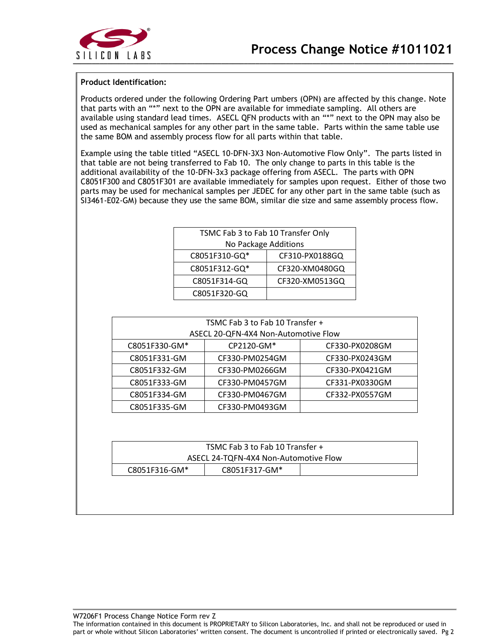

### **Product Identification:**

Products ordered under the following Ordering Part umbers (OPN) are affected by this change. Note that parts with an "\*" next to the OPN are available for immediate sampling. All others are available using standard lead times. ASECL QFN products with an "\*" next to the OPN may also be used as mechanical samples for any other part in the same table. Parts within the same table use the same BOM and assembly process flow for all parts within that table.

Example using the table titled "ASECL 10-DFN-3X3 Non-Automotive Flow Only". The parts listed in that table are not being transferred to Fab 10. The only change to parts in this table is the additional availability of the 10-DFN-3x3 package offering from ASECL. The parts with OPN C8051F300 and C8051F301 are available immediately for samples upon request. Either of those two parts may be used for mechanical samples per JEDEC for any other part in the same table (such as SI3461-E02-GM) because they use the same BOM, similar die size and same assembly process flow.

| TSMC Fab 3 to Fab 10 Transfer Only |                |  |  |
|------------------------------------|----------------|--|--|
| No Package Additions               |                |  |  |
| C8051F310-GQ*                      | CF310-PX0188GQ |  |  |
| C8051F312-GQ*<br>CF320-XM0480GQ    |                |  |  |
| C8051F314-GQ                       | CF320-XM0513GQ |  |  |
| C8051F320-GQ                       |                |  |  |

| TSMC Fab 3 to Fab 10 Transfer +      |                |                |
|--------------------------------------|----------------|----------------|
| ASECL 20-QFN-4X4 Non-Automotive Flow |                |                |
| C8051F330-GM*                        | CP2120-GM*     | CF330-PX0208GM |
| C8051F331-GM                         | CF330-PM0254GM | CF330-PX0243GM |
| C8051F332-GM                         | CF330-PM0266GM | CF330-PX0421GM |
| C8051F333-GM                         | CF330-PM0457GM | CF331-PX0330GM |
| C8051F334-GM                         | CF330-PM0467GM | CF332-PX0557GM |
| C8051F335-GM                         | CF330-PM0493GM |                |

| TSMC Fab 3 to Fab 10 Transfer +       |  |  |
|---------------------------------------|--|--|
| ASECL 24-TQFN-4X4 Non-Automotive Flow |  |  |
| C8051F317-GM*<br>C8051F316-GM*        |  |  |

W7206F1 Process Change Notice Form rev Z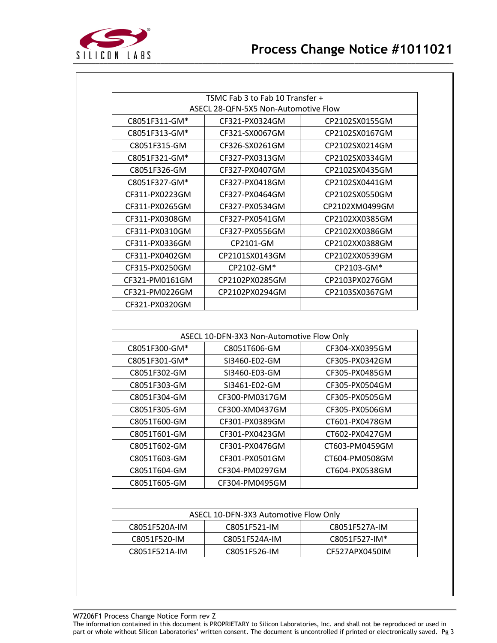

| TSMC Fab 3 to Fab 10 Transfer +      |                |                |
|--------------------------------------|----------------|----------------|
| ASECL 28-QFN-5X5 Non-Automotive Flow |                |                |
| C8051F311-GM*                        | CF321-PX0324GM | CP2102SX0155GM |
| C8051F313-GM*                        | CF321-SX0067GM | CP2102SX0167GM |
| C8051F315-GM                         | CF326-SX0261GM | CP2102SX0214GM |
| C8051F321-GM*                        | CF327-PX0313GM | CP2102SX0334GM |
| C8051F326-GM                         | CF327-PX0407GM | CP2102SX0435GM |
| C8051F327-GM*                        | CF327-PX0418GM | CP2102SX0441GM |
| CF311-PX0223GM                       | CF327-PX0464GM | CP2102SX0550GM |
| CF311-PX0265GM                       | CF327-PX0534GM | CP2102XM0499GM |
| CF311-PX0308GM                       | CF327-PX0541GM | CP2102XX0385GM |
| CF311-PX0310GM                       | CF327-PX0556GM | CP2102XX0386GM |
| CF311-PX0336GM                       | CP2101-GM      | CP2102XX0388GM |
| CF311-PX0402GM                       | CP2101SX0143GM | CP2102XX0539GM |
| CF315-PX0250GM                       | CP2102-GM*     | CP2103-GM*     |
| CF321-PM0161GM                       | CP2102PX0285GM | CP2103PX0276GM |
| CF321-PM0226GM                       | CP2102PX0294GM | CP2103SX0367GM |
| CF321-PX0320GM                       |                |                |

| ASECL 10-DFN-3X3 Non-Automotive Flow Only |                |                |
|-------------------------------------------|----------------|----------------|
| C8051F300-GM*                             | C8051T606-GM   | CF304-XX0395GM |
| C8051F301-GM*                             | SI3460-E02-GM  | CF305-PX0342GM |
| C8051F302-GM                              | SI3460-E03-GM  | CF305-PX0485GM |
| C8051F303-GM                              | SI3461-E02-GM  | CF305-PX0504GM |
| C8051F304-GM                              | CF300-PM0317GM | CF305-PX0505GM |
| C8051F305-GM                              | CF300-XM0437GM | CF305-PX0506GM |
| C8051T600-GM                              | CF301-PX0389GM | CT601-PX0478GM |
| C8051T601-GM                              | CF301-PX0423GM | CT602-PX0427GM |
| C8051T602-GM                              | CF301-PX0476GM | CT603-PM0459GM |
| C8051T603-GM                              | CF301-PX0501GM | CT604-PM0508GM |
| C8051T604-GM                              | CF304-PM0297GM | CT604-PX0538GM |
| C8051T605-GM                              | CF304-PM0495GM |                |

| ASECL 10-DFN-3X3 Automotive Flow Only          |               |                |
|------------------------------------------------|---------------|----------------|
| C8051F521-IM<br>C8051F527A-IM<br>C8051F520A-IM |               |                |
| C8051F520-IM                                   | C8051F524A-IM | C8051F527-IM*  |
| C8051F521A-IM                                  | C8051F526-IM  | CF527APX0450IM |

W7206F1 Process Change Notice Form rev Z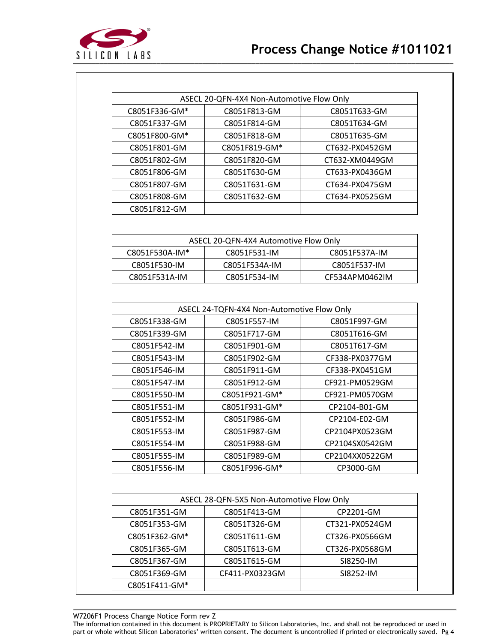

| ASECL 20-QFN-4X4 Non-Automotive Flow Only |               |                |
|-------------------------------------------|---------------|----------------|
| C8051F336-GM*                             | C8051F813-GM  | C8051T633-GM   |
| C8051F337-GM                              | C8051F814-GM  | C8051T634-GM   |
| C8051F800-GM*                             | C8051F818-GM  | C8051T635-GM   |
| C8051F801-GM                              | C8051F819-GM* | CT632-PX0452GM |
| C8051F802-GM                              | C8051F820-GM  | CT632-XM0449GM |
| C8051F806-GM                              | C8051T630-GM  | CT633-PX0436GM |
| C8051F807-GM                              | C8051T631-GM  | CT634-PX0475GM |
| C8051F808-GM                              | C8051T632-GM  | CT634-PX0525GM |
| C8051F812-GM                              |               |                |

| ASECL 20-QFN-4X4 Automotive Flow Only           |               |                |
|-------------------------------------------------|---------------|----------------|
| C8051F530A-IM*<br>C8051F531-IM<br>C8051F537A-IM |               |                |
| C8051F530-IM                                    | C8051F534A-IM | C8051F537-IM   |
| C8051F531A-IM                                   | C8051F534-IM  | CF534APM0462IM |

| ASECL 24-TQFN-4X4 Non-Automotive Flow Only |               |                |
|--------------------------------------------|---------------|----------------|
| C8051F338-GM                               | C8051F557-IM  | C8051F997-GM   |
| C8051F339-GM                               | C8051F717-GM  | C8051T616-GM   |
| C8051F542-IM                               | C8051F901-GM  | C8051T617-GM   |
| C8051F543-IM                               | C8051F902-GM  | CF338-PX0377GM |
| C8051F546-IM                               | C8051F911-GM  | CF338-PX0451GM |
| C8051F547-IM                               | C8051F912-GM  | CF921-PM0529GM |
| C8051F550-IM                               | C8051F921-GM* | CF921-PM0570GM |
| C8051F551-IM                               | C8051F931-GM* | CP2104-B01-GM  |
| C8051F552-IM                               | C8051F986-GM  | CP2104-E02-GM  |
| C8051F553-IM                               | C8051F987-GM  | CP2104PX0523GM |
| C8051F554-IM                               | C8051F988-GM  | CP2104SX0542GM |
| C8051F555-IM                               | C8051F989-GM  | CP2104XX0522GM |
| C8051F556-IM                               | C8051F996-GM* | CP3000-GM      |

| ASECL 28-QFN-5X5 Non-Automotive Flow Only |                |                |
|-------------------------------------------|----------------|----------------|
| C8051F351-GM                              | C8051F413-GM   | CP2201-GM      |
| C8051F353-GM                              | C8051T326-GM   | CT321-PX0524GM |
| C8051F362-GM*                             | C8051T611-GM   | CT326-PX0566GM |
| C8051F365-GM                              | C8051T613-GM   | CT326-PX0568GM |
| C8051F367-GM                              | C8051T615-GM   | SI8250-IM      |
| C8051F369-GM                              | CF411-PX0323GM | SI8252-IM      |
| C8051F411-GM*                             |                |                |

W7206F1 Process Change Notice Form rev Z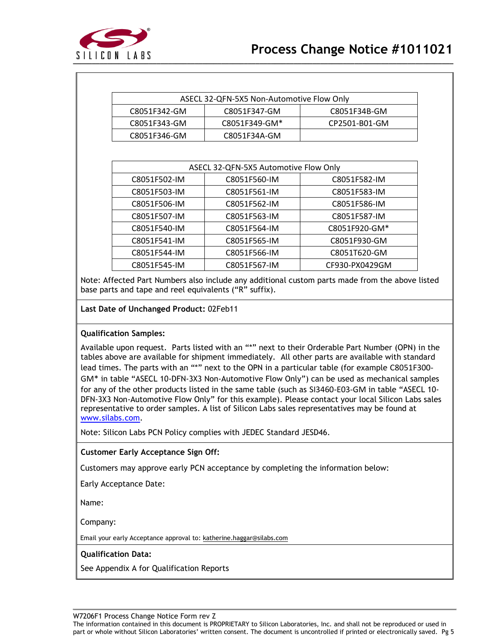

| ASECL 32-QFN-5X5 Non-Automotive Flow Only    |               |               |  |
|----------------------------------------------|---------------|---------------|--|
| C8051F347-GM<br>C8051F34B-GM<br>C8051F342-GM |               |               |  |
| C8051F343-GM                                 | C8051F349-GM* | CP2501-B01-GM |  |
| C8051F346-GM                                 | C8051F34A-GM  |               |  |

|              | ASECL 32-QFN-5X5 Automotive Flow Only |                |  |  |  |  |  |  |  |
|--------------|---------------------------------------|----------------|--|--|--|--|--|--|--|
| C8051F502-IM | C8051F560-IM                          | C8051F582-IM   |  |  |  |  |  |  |  |
| C8051F503-IM | C8051F561-IM                          | C8051F583-IM   |  |  |  |  |  |  |  |
| C8051F506-IM | C8051F562-IM                          | C8051F586-IM   |  |  |  |  |  |  |  |
| C8051F507-IM | C8051F563-IM                          | C8051F587-IM   |  |  |  |  |  |  |  |
| C8051F540-IM | C8051F564-IM                          | C8051F920-GM*  |  |  |  |  |  |  |  |
| C8051F541-IM | C8051F565-IM                          | C8051F930-GM   |  |  |  |  |  |  |  |
| C8051F544-IM | C8051F566-IM                          | C8051T620-GM   |  |  |  |  |  |  |  |
| C8051F545-IM | C8051F567-IM                          | CF930-PX0429GM |  |  |  |  |  |  |  |

Note: Affected Part Numbers also include any additional custom parts made from the above listed base parts and tape and reel equivalents ("R" suffix).

### **Last Date of Unchanged Product:** 02Feb11

### **Qualification Samples:**

Available upon request. Parts listed with an "\*" next to their Orderable Part Number (OPN) in the tables above are available for shipment immediately. All other parts are available with standard lead times. The parts with an "\*" next to the OPN in a particular table (for example C8051F300- GM\* in table "ASECL 10-DFN-3X3 Non-Automotive Flow Only") can be used as mechanical samples for any of the other products listed in the same table (such as SI3460-E03-GM in table "ASECL 10- DFN-3X3 Non-Automotive Flow Only" for this example). Please contact your local Silicon Labs sales representative to order samples. A list of Silicon Labs sales representatives may be found at [www.silabs.com.](http://www.silabs.com/)

Note: Silicon Labs PCN Policy complies with JEDEC Standard JESD46.

### **Customer Early Acceptance Sign Off:**

Customers may approve early PCN acceptance by completing the information below:

Early Acceptance Date:

Name:

Company:

Email your early Acceptance approval to: katherine.haggar@silabs.com

### **Qualification Data:**

See Appendix A for Qualification Reports

W7206F1 Process Change Notice Form rev Z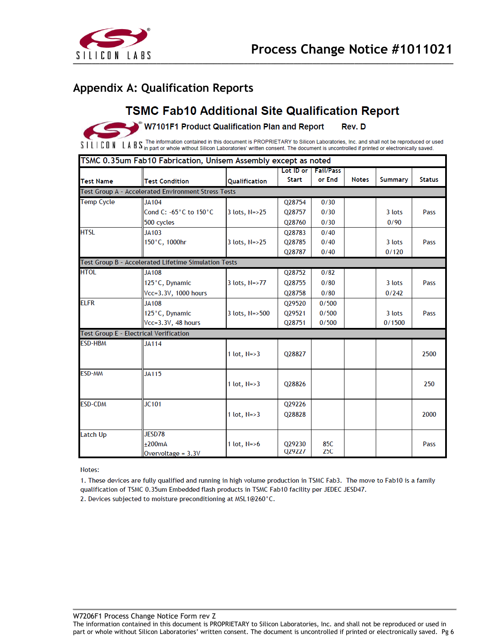

### **Appendix A: Qualification Reports**

## **TSMC Fab10 Additional Site Qualification Report**

W7101F1 Product Qualification Plan and Report Rev. D

The information contained in this document is PROPRIETARY to Silicon Laboratories, Inc. and shall not be reproduced or used L A B S The information contained in this document is PROPRIETARY to Silicon Laboratories, Inc. and shall not be reproduced or u<br>L A B S in part or whole without Silicon Laboratories' written consent. The document is uncon SILICON

|                   | TSMC 0.35um Fab10 Fabrication, Unisem Assembly except as noted |                      |              |                       |              |                |               |
|-------------------|----------------------------------------------------------------|----------------------|--------------|-----------------------|--------------|----------------|---------------|
|                   |                                                                |                      |              | Lot ID or   Fail/Pass |              |                |               |
| <b>Test Name</b>  | <b>Test Condition</b>                                          | Qualification        | <b>Start</b> | or End                | <b>Notes</b> | <b>Summary</b> | <b>Status</b> |
|                   | Test Group A - Accelerated Environment Stress Tests            |                      |              |                       |              |                |               |
| <b>Temp Cycle</b> | JA104                                                          |                      | Q28754       | 0/30                  |              |                |               |
|                   | Cond C: -65°C to 150°C                                         | $3$ lots, $N = > 25$ | Q28757       | 0/30                  |              | 3 lots         | Pass          |
|                   | 500 cycles                                                     |                      | Q28760       | 0/30                  |              | 0/90           |               |
| <b>HTSL</b>       | JA103                                                          |                      | Q28783       | 0/40                  |              |                |               |
|                   | 150°C, 1000hr                                                  | 3 lots, N=>25        | Q28785       | 0/40                  |              | 3 lots         | Pass          |
|                   |                                                                |                      | Q28787       | 0/40                  |              | 0/120          |               |
|                   | Test Group B - Accelerated Lifetime Simulation Tests           |                      |              |                       |              |                |               |
| <b>HTOL</b>       | <b>JA108</b>                                                   |                      | Q28752       | 0/82                  |              |                |               |
|                   | 125°C, Dynamic                                                 | 3 lots, N=>77        | Q28755       | 0/80                  |              | 3 lots         | Pass          |
|                   | Vcc=3.3V, 1000 hours                                           |                      | Q28758       | 0/80                  |              | 0/242          |               |
| <b>ELFR</b>       | <b>JA108</b>                                                   |                      | 029520       | 0/500                 |              |                |               |
|                   | 125°C, Dynamic                                                 | 3 lots, N=>500       | Q29521       | 0/500                 |              | 3 lots         | Pass          |
|                   | Vcc=3.3V, 48 hours                                             |                      | Q28751       | 0/500                 |              | 0/1500         |               |
|                   | <b>Test Group E - Electrical Verification</b>                  |                      |              |                       |              |                |               |
| <b>ESD-HBM</b>    | <b>JA114</b>                                                   |                      |              |                       |              |                |               |
|                   |                                                                | 1 lot, $N = > 3$     | Q28827       |                       |              |                | 2500          |
|                   |                                                                |                      |              |                       |              |                |               |
| ESD-MM            | <b>JA115</b>                                                   |                      |              |                       |              |                |               |
|                   |                                                                | 1 lot, $N = > 3$     | Q28826       |                       |              |                | 250           |
|                   |                                                                |                      |              |                       |              |                |               |
| <b>ESD-CDM</b>    | <b>JC101</b>                                                   |                      | Q29226       |                       |              |                |               |
|                   |                                                                | 1 lot, $N = > 3$     | Q28828       |                       |              |                | 2000          |
|                   |                                                                |                      |              |                       |              |                |               |
| <b>Latch Up</b>   | JESD78                                                         |                      |              |                       |              |                |               |
|                   | $+200mA$                                                       | 1 lot, $N = > 6$     | 029230       | 85C                   |              |                | Pass          |
|                   | Overvoltage = 3.3V                                             |                      | Q29227       | <b>25C</b>            |              |                |               |

Notes:

1. These devices are fully qualified and running in high volume production in TSMC Fab3. The move to Fab10 is a family qualification of TSMC 0.35um Embedded flash products in TSMC Fab10 facility per JEDEC JESD47.

2. Devices subjected to moisture preconditioning at MSL1@260°C.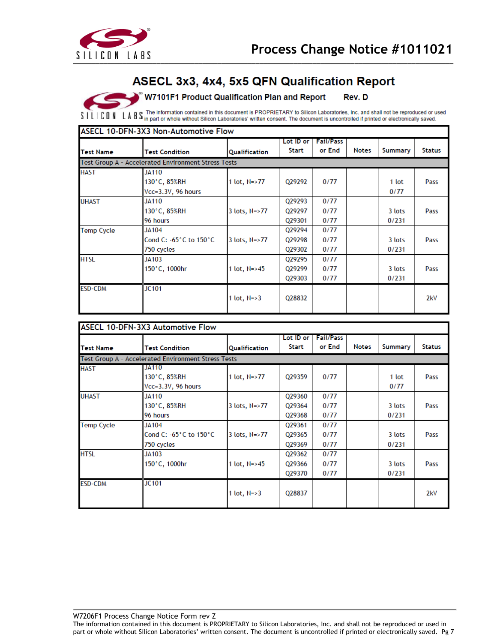

W7101F1 Product Qualification Plan and Report Rev. D

SILICON LABS The information contained in this document is PROPRIETARY to Silicon Laboratories, Inc. and shall not be reproduced or used

|                   | Test Group A - Accelerated Environment Stress Tests |                      |        | or End | <b>Notes</b> | Summary | <b>Status</b> |
|-------------------|-----------------------------------------------------|----------------------|--------|--------|--------------|---------|---------------|
| <b>HAST</b>       |                                                     |                      |        |        |              |         |               |
|                   | <b>JA110</b>                                        |                      |        |        |              |         |               |
|                   | 130°C, 85%RH                                        | 1 lot, $N = > 77$    | 029292 | 0/77   |              | 1 lot   | Pass          |
|                   | Vcc=3.3V, 96 hours                                  |                      |        |        |              | 0/77    |               |
| <b>UHAST</b>      | <b>JA110</b>                                        |                      | Q29293 | 0/77   |              |         |               |
|                   | 130°C, 85%RH                                        | $3$ lots, $N = > 77$ | Q29297 | 0/77   |              | 3 lots  | Pass          |
|                   | 96 hours                                            |                      | Q29301 | 0/77   |              | 0/231   |               |
| <b>Temp Cycle</b> | <b>JA104</b>                                        |                      | Q29294 | 0/77   |              |         |               |
|                   | Cond C: -65°C to 150°C                              | 3 lots, N=>77        | Q29298 | 0/77   |              | 3 lots  | Pass          |
|                   | 750 cycles                                          |                      | 029302 | 0/77   |              | 0/231   |               |
| <b>HTSL</b>       | JA103                                               |                      | Q29295 | 0/77   |              |         |               |
|                   | 150°C, 1000hr                                       | 1 lot, $N = > 45$    | Q29299 | 0/77   |              | 3 lots  | Pass          |
|                   |                                                     |                      | Q29303 | 0/77   |              | 0/231   |               |
| <b>ESD-CDM</b>    | JC101                                               |                      |        |        |              |         |               |
|                   |                                                     | 1 lot, $N = > 3$     | Q28832 |        |              |         | 2kV           |

|                   | <b>ASECL 10-DFN-3X3 Automotive Flow</b>             |                      |                            |                            |              |                 |               |
|-------------------|-----------------------------------------------------|----------------------|----------------------------|----------------------------|--------------|-----------------|---------------|
| <b>Test Name</b>  | <b>Test Condition</b>                               | <b>Qualification</b> | Lot ID or<br><b>Start</b>  | <b>Fail/Pass</b><br>or End | <b>Notes</b> | Summary         | <b>Status</b> |
|                   | Test Group A - Accelerated Environment Stress Tests |                      |                            |                            |              |                 |               |
| <b>HAST</b>       | IIJA110<br>130°C, 85%RH<br>Vcc=3.3V, 96 hours       | 1 lot, $N = > 77$    | 029359                     | 0/77                       |              | 1 lot<br>0/77   | Pass          |
| <b>UHAST</b>      | JA110<br>130°C, 85%RH<br>96 hours                   | 3 lots, N=>77        | Q29360<br>Q29364<br>Q29368 | 0/77<br>0/77<br>0/77       |              | 3 lots<br>0/231 | Pass          |
| <b>Temp Cycle</b> | JA104<br>∥Cond C: -65°C to 150°C<br>750 cycles      | 3 lots, N=>77        | Q29361<br>Q29365<br>029369 | 0/77<br>0/77<br>0/77       |              | 3 lots<br>0/231 | Pass          |
| <b>HTSL</b>       | JA103<br>150°C, 1000hr                              | 1 lot, N=>45         | Q29362<br>Q29366<br>Q29370 | 0/77<br>0/77<br>0/77       |              | 3 lots<br>0/231 | Pass          |
| <b>ESD-CDM</b>    | <b>JC101</b>                                        | 1 lot, $N = > 3$     | Q28837                     |                            |              |                 | 2kV           |

W7206F1 Process Change Notice Form rev Z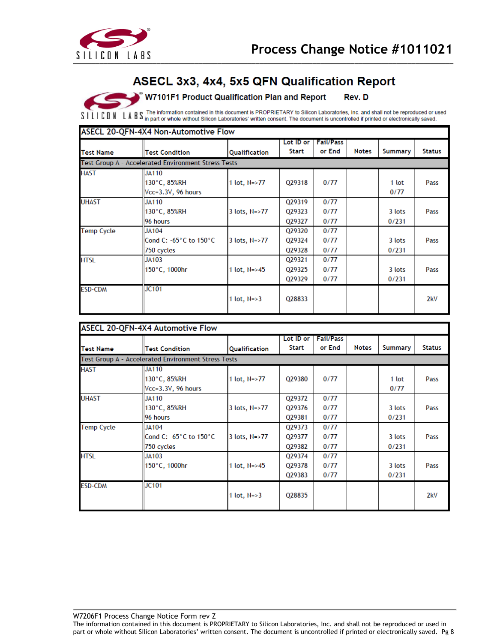

W7101F1 Product Qualification Plan and Report Rev. D

S I L I CON LABS The information contained in this document is PROPRIETARY to Silicon Laboratories, Inc. and shall not be reproduced or used

| <b>Test Name</b>  | <b>Test Condition</b>                               | Qualification        | Lot ID or<br>Start         | <b>Fail/Pass</b><br>or End | <b>Notes</b> | <b>Summary</b>  | <b>Status</b> |
|-------------------|-----------------------------------------------------|----------------------|----------------------------|----------------------------|--------------|-----------------|---------------|
|                   | Test Group A - Accelerated Environment Stress Tests |                      |                            |                            |              |                 |               |
| <b>HAST</b>       | JA110<br>130°C, 85%RH<br>Vcc=3.3V, 96 hours         | 1 lot, $N = > 77$    | Q29318                     | 0/77                       |              | 1 lot<br>0/77   | Pass          |
| <b>UHAST</b>      | <b>JA110</b><br>130°C, 85%RH<br>96 hours            | 3 lots, N=>77        | Q29319<br>Q29323<br>029327 | 0/77<br>0/77<br>0/77       |              | 3 lots<br>0/231 | Pass          |
| <b>Temp Cycle</b> | JA104<br>Cond C: -65°C to 150°C<br>$ 750$ cycles    | $3$ lots, $N = > 77$ | Q29320<br>Q29324<br>Q29328 | 0/77<br>0/77<br>0/77       |              | 3 lots<br>0/231 | Pass          |
| <b>HTSL</b>       | JA103<br>150°C, 1000hr                              | 1 lot, $N = > 45$    | Q29321<br>Q29325<br>Q29329 | 0/77<br>0/77<br>0/77       |              | 3 lots<br>0/231 | Pass          |
| <b>ESD-CDM</b>    | JC101                                               | 1 lot, $N = > 3$     | Q28833                     |                            |              |                 | 2kV           |

|                   | ASECL 20-QFN-4X4 Automotive Flow                    |                      |              |                  |              |         |               |
|-------------------|-----------------------------------------------------|----------------------|--------------|------------------|--------------|---------|---------------|
|                   |                                                     |                      | Lot ID or    | <b>Fail/Pass</b> |              |         |               |
| <b>Test Name</b>  | <b>Test Condition</b>                               | Qualification        | <b>Start</b> | or End           | <b>Notes</b> | Summary | <b>Status</b> |
|                   | Test Group A - Accelerated Environment Stress Tests |                      |              |                  |              |         |               |
| <b>HAST</b>       | JA110                                               |                      |              |                  |              |         |               |
|                   | 130°C, 85%RH                                        | 1 lot, N=>77         | Q29380       | 0/77             |              | 1 lot   | Pass          |
|                   | $Vcc = 3.3V$ , 96 hours                             |                      |              |                  |              | 0/77    |               |
| <b>UHAST</b>      | JA110                                               |                      | Q29372       | 0/77             |              |         |               |
|                   | 130°C, 85%RH                                        | $3$ lots, $N = > 77$ | Q29376       | 0/77             |              | 3 lots  | Pass          |
|                   | 96 hours                                            |                      | Q29381       | 0/77             |              | 0/231   |               |
| <b>Temp Cycle</b> | JA104                                               |                      | Q29373       | 0/77             |              |         |               |
|                   | lCond C: −65°C to 150°C                             | $3$ lots, $N = > 77$ | Q29377       | 0/77             |              | 3 lots  | Pass          |
|                   | 750 cycles                                          |                      | Q29382       | 0/77             |              | 0/231   |               |
| <b>HTSL</b>       | JA103                                               |                      | 029374       | 0/77             |              |         |               |
|                   | 150°C, 1000hr                                       | 1 lot, N=>45         | Q29378       | 0/77             |              | 3 lots  | Pass          |
|                   |                                                     |                      | 029383       | 0/77             |              | 0/231   |               |
| <b>ESD-CDM</b>    | <b>JC101</b>                                        |                      |              |                  |              |         |               |
|                   |                                                     | 1 lot, $N = > 3$     | Q28835       |                  |              |         | 2kV           |
|                   |                                                     |                      |              |                  |              |         |               |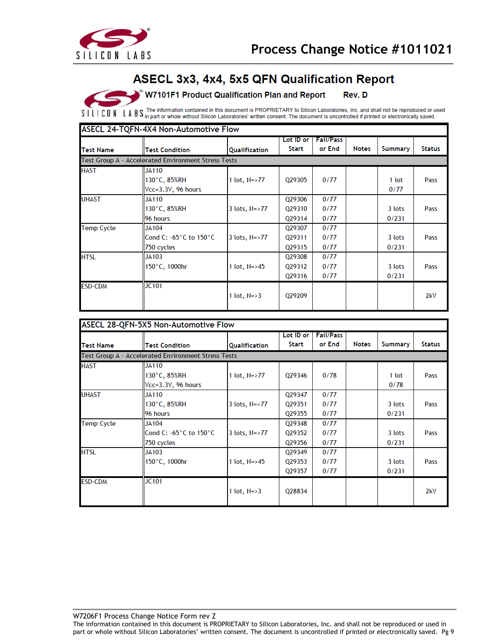

W7101F1 Product Qualification Plan and Report Rev. D

SILICON LABS in part or whole without Silicon Laboratories' written consent. The document is uncontrolled if printed or electronically saved.

| <b>Test Name</b>  | <b>Test Condition</b>                                | <b>Qualification</b> | Lot ID or<br><b>Start</b>  | <b>Fail/Pass</b><br>or End | <b>Notes</b> | Summary         | <b>Status</b> |
|-------------------|------------------------------------------------------|----------------------|----------------------------|----------------------------|--------------|-----------------|---------------|
|                   | Test Group A - Accelerated Environment Stress Tests  |                      |                            |                            |              |                 |               |
| <b>HAST</b>       | JA110<br>130°C, 85%RH<br>Vcc=3.3V, 96 hours          | 1 lot, $N = > 77$    | Q29305                     | 0/77                       |              | 1 lot<br>0/77   | Pass          |
| <b>UHAST</b>      | <b>JA110</b><br>130°C, 85%RH<br>96 hours             | $3$ lots, $N = > 77$ | Q29306<br>Q29310<br>Q29314 | 0/77<br>0/77<br>0/77       |              | 3 lots<br>0/231 | Pass          |
| <b>Temp Cycle</b> | <b>JA104</b><br>Cond C: -65°C to 150°C<br>750 cycles | 3 lots, $N = > 77$   | Q29307<br>Q29311<br>029315 | 0/77<br>0/77<br>0/77       |              | 3 lots<br>0/231 | Pass          |
| <b>HTSL</b>       | <b>JA103</b><br>150°C, 1000hr                        | 1 lot, N=>45         | Q29308<br>029312<br>029316 | 0/77<br>0/77<br>0/77       |              | 3 lots<br>0/231 | Pass          |
| <b>ESD-CDM</b>    | <b>JC101</b>                                         | 1 lot, $N = > 3$     | 029209                     |                            |              |                 | 2kV           |

|                   | ASECL 28-QFN-5X5 Non-Automotive Flow                 |                   |                            |                            |              |                 |               |
|-------------------|------------------------------------------------------|-------------------|----------------------------|----------------------------|--------------|-----------------|---------------|
| <b>Test Name</b>  | <b>Test Condition</b>                                | Qualification     | Lot ID or<br><b>Start</b>  | <b>Fail/Pass</b><br>or End | <b>Notes</b> | Summary         | <b>Status</b> |
|                   | Test Group A - Accelerated Environment Stress Tests  |                   |                            |                            |              |                 |               |
| <b>HAST</b>       | <b>JA110</b><br>130°C, 85%RH<br>Vcc=3.3V, 96 hours   | 1 lot, $N = > 77$ | Q29346                     | 0/78                       |              | 1 lot<br>0/78   | Pass          |
| <b>UHAST</b>      | <b>JA110</b><br>130°C, 85%RH<br>96 hours             | 3 lots, N=>77     | Q29347<br>029351<br>Q29355 | 0/77<br>0/77<br>0/77       |              | 3 lots<br>0/231 | Pass          |
| <b>Temp Cycle</b> | <b>JA104</b><br>Cond C: -65°C to 150°C<br>750 cycles | 3 lots, N=>77     | Q29348<br>Q29352<br>029356 | 0/77<br>0/77<br>0/77       |              | 3 lots<br>0/231 | Pass          |
| <b>HTSL</b>       | JA103<br>150°C, 1000hr                               | 1 lot, N=>45      | 029349<br>Q29353<br>029357 | 0/77<br>0/77<br>0/77       |              | 3 lots<br>0/231 | Pass          |
| <b>ESD-CDM</b>    | JC101                                                | 1 lot, $N = > 3$  | Q28834                     |                            |              |                 | 2kV           |

W7206F1 Process Change Notice Form rev Z